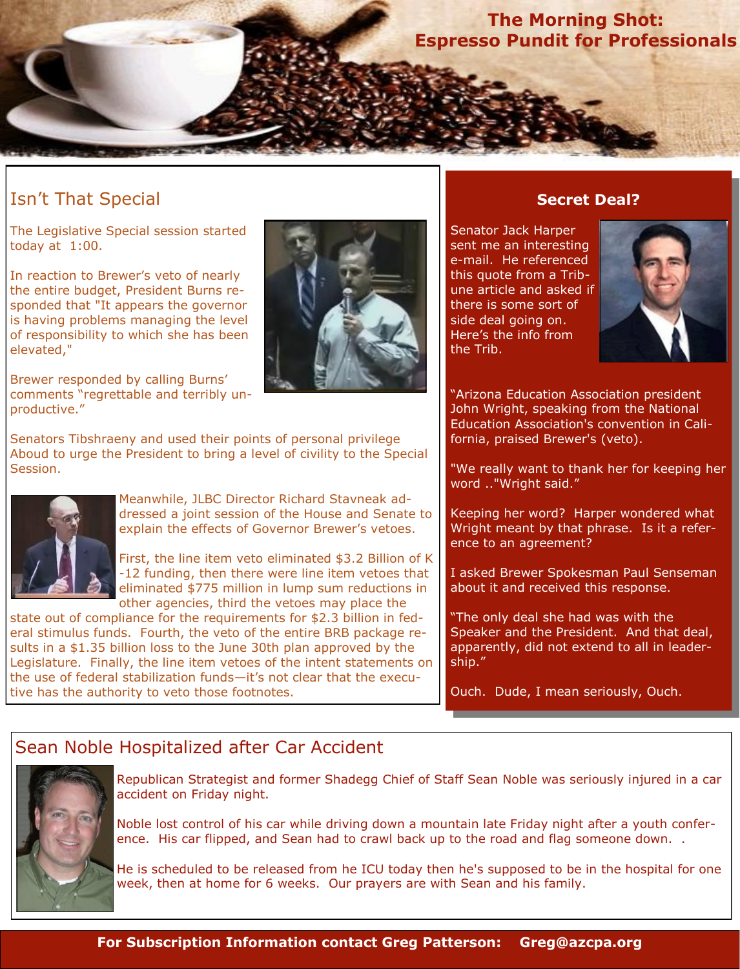**The Morning Shot: Espresso Pundit for Professionals**

# Isn't That Special

The Legislative Special session started today at 1:00.

In reaction to Brewer's veto of nearly the entire budget, President Burns responded that "It appears the governor is having problems managing the level of responsibility to which she has been elevated,"



Brewer responded by calling Burns' comments "regrettable and terribly unproductive."

Senators Tibshraeny and used their points of personal privilege Aboud to urge the President to bring a level of civility to the Special Session.



Meanwhile, JLBC Director Richard Stavneak addressed a joint session of the House and Senate to explain the effects of Governor Brewer's vetoes.

First, the line item veto eliminated \$3.2 Billion of K -12 funding, then there were line item vetoes that eliminated \$775 million in lump sum reductions in other agencies, third the vetoes may place the

state out of compliance for the requirements for \$2.3 billion in federal stimulus funds. Fourth, the veto of the entire BRB package results in a \$1.35 billion loss to the June 30th plan approved by the Legislature. Finally, the line item vetoes of the intent statements on the use of federal stabilization funds—it's not clear that the executive has the authority to veto those footnotes.

## **Secret Deal?**

Senator Jack Harper sent me an interesting e-mail. He referenced this quote from a Tribune article and asked if there is some sort of side deal going on. Here's the info from the Trib.



**"Arizona Education Association president** John Wright, speaking from the National Education Association's convention in California, praised Brewer's (veto).

"We really want to thank her for keeping her word .."Wright said."

Keeping her word? Harper wondered what Wright meant by that phrase. Is it a reference to an agreement?

I asked Brewer Spokesman Paul Senseman about it and received this response.

"The only deal she had was with the Speaker and the President. And that deal, apparently, did not extend to all in leadership."

Ouch. Dude, I mean seriously, Ouch.

## Sean Noble Hospitalized after Car Accident



Republican Strategist and former Shadegg Chief of Staff Sean Noble was seriously injured in a car accident on Friday night.

Noble lost control of his car while driving down a mountain late Friday night after a youth conference. His car flipped, and Sean had to crawl back up to the road and flag someone down. .

He is scheduled to be released from he ICU today then he's supposed to be in the hospital for one week, then at home for 6 weeks. Our prayers are with Sean and his family.